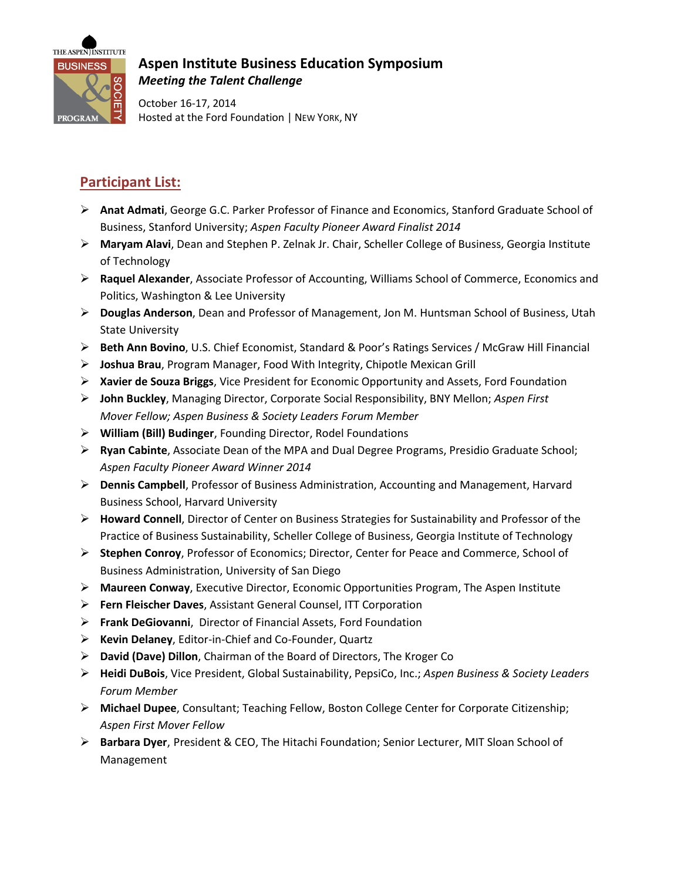

## **Aspen Institute Business Education Symposium**  *Meeting the Talent Challenge*

October 16-17, 2014 Hosted at the Ford Foundation | NEW YORK, NY

## **Participant List:**

- **Anat Admati**, George G.C. Parker Professor of Finance and Economics, Stanford Graduate School of Business, Stanford University; *Aspen Faculty Pioneer Award Finalist 2014*
- **Maryam Alavi**, Dean and Stephen P. Zelnak Jr. Chair, Scheller College of Business, Georgia Institute of Technology
- **Raquel Alexander**, Associate Professor of Accounting, Williams School of Commerce, Economics and Politics, Washington & Lee University
- **Douglas Anderson**, Dean and Professor of Management, Jon M. Huntsman School of Business, Utah State University
- **Beth Ann Bovino**, U.S. Chief Economist, Standard & Poor's Ratings Services / McGraw Hill Financial
- **Joshua Brau**, Program Manager, Food With Integrity, Chipotle Mexican Grill
- **Xavier de Souza Briggs**, Vice President for Economic Opportunity and Assets, Ford Foundation
- **John Buckley**, Managing Director, Corporate Social Responsibility, BNY Mellon; *Aspen First Mover Fellow; Aspen Business & Society Leaders Forum Member*
- **William (Bill) Budinger**, Founding Director, Rodel Foundations
- **Ryan Cabinte**, Associate Dean of the MPA and Dual Degree Programs, Presidio Graduate School; *Aspen Faculty Pioneer Award Winner 2014*
- **Dennis Campbell**, Professor of Business Administration, Accounting and Management, Harvard Business School, Harvard University
- **Howard Connell**, Director of Center on Business Strategies for Sustainability and Professor of the Practice of Business Sustainability, Scheller College of Business, Georgia Institute of Technology
- **Stephen Conroy**, Professor of Economics; Director, Center for Peace and Commerce, School of Business Administration, University of San Diego
- **Maureen Conway**, Executive Director, Economic Opportunities Program, The Aspen Institute
- **Fern Fleischer Daves**, Assistant General Counsel, ITT Corporation
- **Frank DeGiovanni**, Director of Financial Assets, Ford Foundation
- **Kevin Delaney**, Editor-in-Chief and Co-Founder, Quartz
- **David (Dave) Dillon**, Chairman of the Board of Directors, The Kroger Co
- **Heidi DuBois**, Vice President, Global Sustainability, PepsiCo, Inc.; *Aspen Business & Society Leaders Forum Member*
- **Michael Dupee**, Consultant; Teaching Fellow, Boston College Center for Corporate Citizenship; *Aspen First Mover Fellow*
- **Barbara Dyer**, President & CEO, The Hitachi Foundation; Senior Lecturer, MIT Sloan School of Management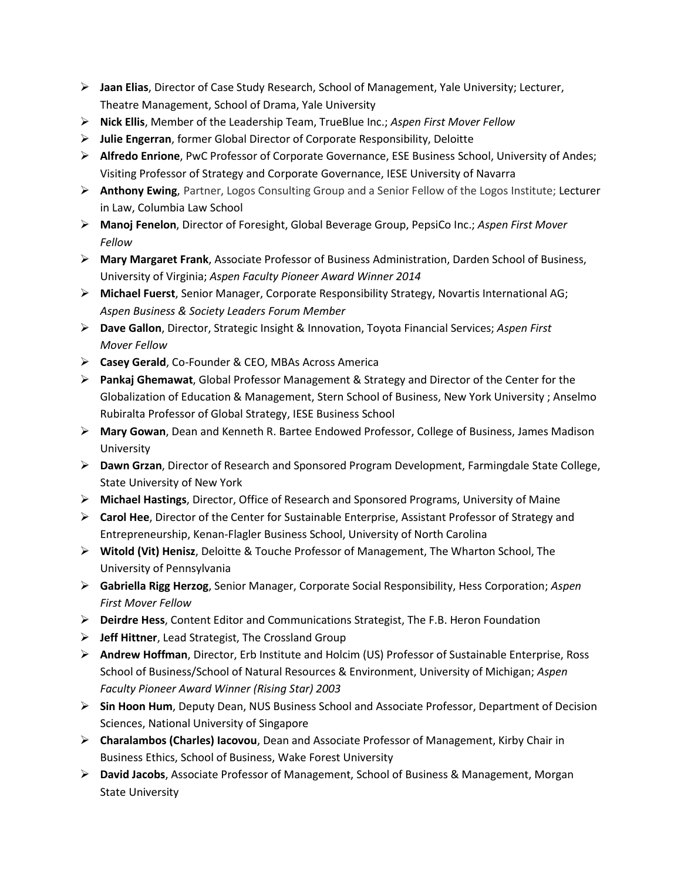- **Jaan Elias**, Director of Case Study Research, School of Management, Yale University; Lecturer, Theatre Management, School of Drama, Yale University
- **Nick Ellis**, Member of the Leadership Team, TrueBlue Inc.; *Aspen First Mover Fellow*
- **Julie Engerran**, former Global Director of Corporate Responsibility, Deloitte
- **Alfredo Enrione**, PwC Professor of Corporate Governance, ESE Business School, University of Andes; Visiting Professor of Strategy and Corporate Governance, IESE University of Navarra
- **Anthony Ewing**, Partner, Logos Consulting Group and a Senior Fellow of the Logos Institute; Lecturer in Law, Columbia Law School
- **Manoj Fenelon**, Director of Foresight, Global Beverage Group, PepsiCo Inc.; *Aspen First Mover Fellow*
- **Mary Margaret Frank**, Associate Professor of Business Administration, Darden School of Business, University of Virginia; *Aspen Faculty Pioneer Award Winner 2014*
- **Michael Fuerst**, Senior Manager, Corporate Responsibility Strategy, Novartis International AG; *Aspen Business & Society Leaders Forum Member*
- **Dave Gallon**, Director, Strategic Insight & Innovation, Toyota Financial Services; *Aspen First Mover Fellow*
- **Casey Gerald**, Co-Founder & CEO, MBAs Across America
- **Pankaj Ghemawat**, Global Professor Management & Strategy and Director of the Center for the Globalization of Education & Management, Stern School of Business, New York University ; Anselmo Rubiralta Professor of Global Strategy, IESE Business School
- **Mary Gowan**, Dean and Kenneth R. Bartee Endowed Professor, College of Business, James Madison University
- **Dawn Grzan**, Director of Research and Sponsored Program Development, Farmingdale State College, State University of New York
- **Michael Hastings**, Director, Office of Research and Sponsored Programs, University of Maine
- **Carol Hee**, Director of the Center for Sustainable Enterprise, Assistant Professor of Strategy and Entrepreneurship, Kenan-Flagler Business School, University of North Carolina
- **Witold (Vit) Henisz**, Deloitte & Touche Professor of Management, The Wharton School, The University of Pennsylvania
- **Gabriella Rigg Herzog**, Senior Manager, Corporate Social Responsibility, Hess Corporation; *Aspen First Mover Fellow*
- **Deirdre Hess**, Content Editor and Communications Strategist, The F.B. Heron Foundation
- **Jeff Hittner**, Lead Strategist, The Crossland Group
- **Andrew Hoffman**, Director, Erb Institute and Holcim (US) Professor of Sustainable Enterprise, Ross School of Business/School of Natural Resources & Environment, University of Michigan; *Aspen Faculty Pioneer Award Winner (Rising Star) 2003*
- **Sin Hoon Hum**, Deputy Dean, NUS Business School and Associate Professor, Department of Decision Sciences, National University of Singapore
- **Charalambos (Charles) Iacovou**, Dean and Associate Professor of Management, Kirby Chair in Business Ethics, School of Business, Wake Forest University
- **David Jacobs**, Associate Professor of Management, School of Business & Management, Morgan State University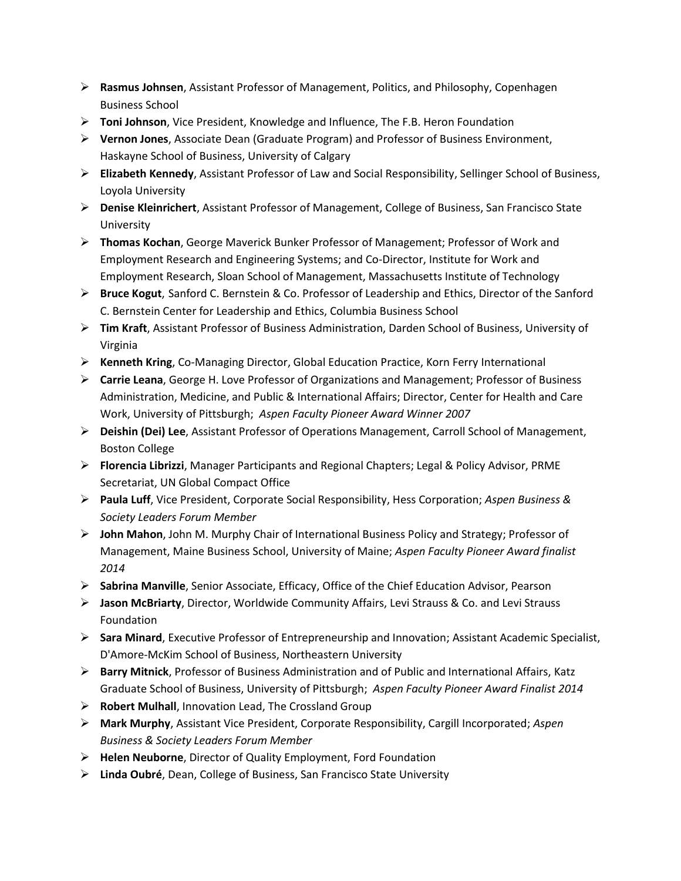- **Rasmus Johnsen**, Assistant Professor of Management, Politics, and Philosophy, Copenhagen Business School
- **Toni Johnson**, Vice President, Knowledge and Influence, The F.B. Heron Foundation
- **Vernon Jones**, Associate Dean (Graduate Program) and Professor of Business Environment, Haskayne School of Business, University of Calgary
- **Elizabeth Kennedy**, Assistant Professor of Law and Social Responsibility, Sellinger School of Business, Loyola University
- **Denise Kleinrichert**, Assistant Professor of Management, College of Business, San Francisco State University
- **Thomas Kochan**, George Maverick Bunker Professor of Management; Professor of Work and Employment Research and Engineering Systems; and Co-Director, Institute for Work and Employment Research, Sloan School of Management, Massachusetts Institute of Technology
- **Bruce Kogut**, Sanford C. Bernstein & Co. Professor of Leadership and Ethics, Director of the Sanford C. Bernstein Center for Leadership and Ethics, Columbia Business School
- **Tim Kraft**, Assistant Professor of Business Administration, Darden School of Business, University of Virginia
- **Kenneth Kring**, Co-Managing Director, Global Education Practice, Korn Ferry International
- **Carrie Leana**, George H. Love Professor of Organizations and Management; Professor of Business Administration, Medicine, and Public & International Affairs; Director, Center for Health and Care Work, University of Pittsburgh; *Aspen Faculty Pioneer Award Winner 2007*
- **Deishin (Dei) Lee**, Assistant Professor of Operations Management, Carroll School of Management, Boston College
- **Florencia Librizzi**, Manager Participants and Regional Chapters; Legal & Policy Advisor, PRME Secretariat, UN Global Compact Office
- **Paula Luff**, Vice President, Corporate Social Responsibility, Hess Corporation; *Aspen Business & Society Leaders Forum Member*
- **John Mahon**, John M. Murphy Chair of International Business Policy and Strategy; Professor of Management, Maine Business School, University of Maine; *Aspen Faculty Pioneer Award finalist 2014*
- **Sabrina Manville**, Senior Associate, Efficacy, Office of the Chief Education Advisor, Pearson
- **Jason McBriarty**, Director, Worldwide Community Affairs, Levi Strauss & Co. and Levi Strauss Foundation
- **Sara Minard**, Executive Professor of Entrepreneurship and Innovation; Assistant Academic Specialist, D'Amore-McKim School of Business, Northeastern University
- **Barry Mitnick**, Professor of Business Administration and of Public and International Affairs, Katz Graduate School of Business, University of Pittsburgh; *Aspen Faculty Pioneer Award Finalist 2014*
- **Robert Mulhall**, Innovation Lead, The Crossland Group
- **Mark Murphy**, Assistant Vice President, Corporate Responsibility, Cargill Incorporated; *Aspen Business & Society Leaders Forum Member*
- **Helen Neuborne**, Director of Quality Employment, Ford Foundation
- **Linda Oubré**, Dean, College of Business, San Francisco State University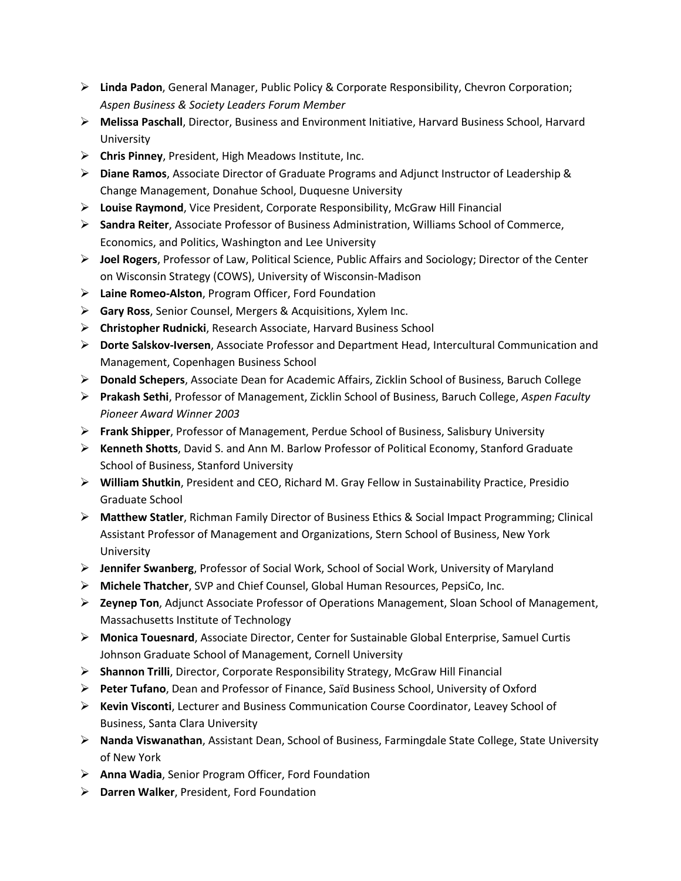- **Linda Padon**, General Manager, Public Policy & Corporate Responsibility, Chevron Corporation; *Aspen Business & Society Leaders Forum Member*
- **Melissa Paschall**, Director, Business and Environment Initiative, Harvard Business School, Harvard University
- **Chris Pinney**, President, High Meadows Institute, Inc.
- **Diane Ramos**, Associate Director of Graduate Programs and Adjunct Instructor of Leadership & Change Management, Donahue School, Duquesne University
- **Louise Raymond**, Vice President, Corporate Responsibility, McGraw Hill Financial
- **Sandra Reiter**, Associate Professor of Business Administration, Williams School of Commerce, Economics, and Politics, Washington and Lee University
- **Joel Rogers**, Professor of Law, Political Science, Public Affairs and Sociology; Director of the Center on Wisconsin Strategy (COWS), University of Wisconsin-Madison
- **Laine Romeo-Alston**, Program Officer, Ford Foundation
- **Gary Ross**, Senior Counsel, Mergers & Acquisitions, Xylem Inc.
- **Christopher Rudnicki**, Research Associate, Harvard Business School
- **Dorte Salskov-Iversen**, Associate Professor and Department Head, Intercultural Communication and Management, Copenhagen Business School
- **Donald Schepers**, Associate Dean for Academic Affairs, Zicklin School of Business, Baruch College
- **Prakash Sethi**, Professor of Management, Zicklin School of Business, Baruch College, *Aspen Faculty Pioneer Award Winner 2003*
- **Frank Shipper**, Professor of Management, Perdue School of Business, Salisbury University
- **Kenneth Shotts**, David S. and Ann M. Barlow Professor of Political Economy, Stanford Graduate School of Business, Stanford University
- **William Shutkin**, President and CEO, Richard M. Gray Fellow in Sustainability Practice, Presidio Graduate School
- **Matthew Statler**, Richman Family Director of Business Ethics & Social Impact Programming; Clinical Assistant Professor of Management and Organizations, Stern School of Business, New York University
- **Jennifer Swanberg**, Professor of Social Work, School of Social Work, University of Maryland
- **Michele Thatcher**, SVP and Chief Counsel, Global Human Resources, PepsiCo, Inc.
- **Zeynep Ton**, Adjunct Associate Professor of Operations Management, Sloan School of Management, Massachusetts Institute of Technology
- **Monica Touesnard**, Associate Director, Center for Sustainable Global Enterprise, Samuel Curtis Johnson Graduate School of Management, Cornell University
- **Shannon Trilli**, Director, Corporate Responsibility Strategy, McGraw Hill Financial
- **Peter Tufano**, Dean and Professor of Finance, Saïd Business School, University of Oxford
- **Kevin Visconti**, Lecturer and Business Communication Course Coordinator, Leavey School of Business, Santa Clara University
- **Nanda Viswanathan**, Assistant Dean, School of Business, Farmingdale State College, State University of New York
- **Anna Wadia**, Senior Program Officer, Ford Foundation
- **Darren Walker**, President, Ford Foundation